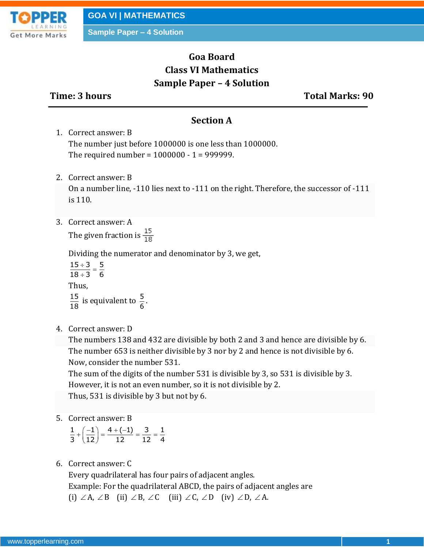

# **Goa Board Class VI Mathematics Sample Paper – 4 Solution**

**Time: 3 hours Total Marks: 90**

#### **Section A**

- 1. Correct answer: B The number just before 1000000 is one less than 1000000. The required number = 1000000 - 1 = 999999.
- 2. Correct answer: B

On a number line, -110 lies next to -111 on the right. Therefore, the successor of -111 is 110.

3. Correct answer: A

The given fraction is  $\frac{15}{18}$ 

Dividing the numerator and denominator by 3, we get,

$$
\frac{15 \div 3}{18 \div 3} = \frac{5}{6}
$$
  
Thus,  

$$
\frac{15}{18}
$$
 is equivalent to  $\frac{5}{6}$ .

4. Correct answer: D

The numbers 138 and 432 are divisible by both 2 and 3 and hence are divisible by 6. The number 653 is neither divisible by 3 nor by 2 and hence is not divisible by 6. Now, consider the number 531.

The sum of the digits of the number 531 is divisible by 3, so 531 is divisible by 3. However, it is not an even number, so it is not divisible by 2. Thus, 531 is divisible by 3 but not by 6.

5. Correct answer: B

|  | $\frac{1}{3} + \left(\frac{-1}{12}\right) = \frac{4 + (-1)}{12} = \frac{3}{12} = \frac{1}{4}$ |  |
|--|-----------------------------------------------------------------------------------------------|--|
|  |                                                                                               |  |

6. Correct answer: C

Every quadrilateral has four pairs of adjacent angles. Example: For the quadrilateral ABCD, the pairs of adjacent angles are (i)  $\angle A$ ,  $\angle B$  (ii)  $\angle B$ ,  $\angle C$  (iii)  $\angle C$ ,  $\angle D$  (iv)  $\angle D$ ,  $\angle A$ .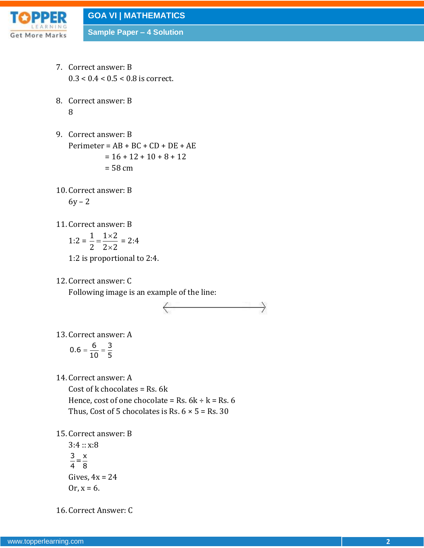

- 7. Correct answer: B  $0.3 < 0.4 < 0.5 < 0.8$  is correct.
- 8. Correct answer: B 8
- 9. Correct answer: B Perimeter =  $AB + BC + CD + DE + AE$  $= 16 + 12 + 10 + 8 + 12$  $= 58$  cm
- 10. Correct answer: B  $6y - 2$
- 11. Correct answer: B

$$
1:2 = \frac{1}{2} = \frac{1 \times 2}{2 \times 2} = 2:4
$$

- 1:2 is proportional to 2:4.
- 12. Correct answer: C

Following image is an example of the line:



13. Correct answer: A

$$
0.6 = \frac{6}{10} = \frac{3}{5}
$$

14. Correct answer: A

Cost of  $k$  chocolates = Rs. 6 $k$ Hence, cost of one chocolate = Rs.  $6k \div k$  = Rs. 6

- Thus, Cost of 5 chocolates is Rs.  $6 \times 5 =$  Rs. 30
- 15. Correct answer: B

 $3:4:: x:8$  $\frac{3}{4} = \frac{x}{8}$ Gives,  $4x = 24$ Or,  $x = 6$ .

16. Correct Answer: C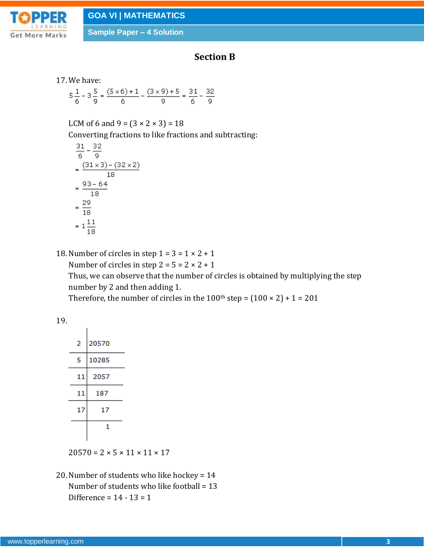

## **Section B**

```
17. We have:
```

$$
5\frac{1}{6} - 3\frac{5}{9} = \frac{(5\times6) + 1}{6} - \frac{(3\times9) + 5}{9} = \frac{31}{6} - \frac{32}{9}
$$

LCM of 6 and 9 =  $(3 \times 2 \times 3) = 18$ 

Converting fractions to like fractions and subtracting:

$$
\frac{31}{6} - \frac{32}{9}
$$
\n
$$
= \frac{(31 \times 3) - (32 \times 2)}{18}
$$
\n
$$
= \frac{93 - 64}{18}
$$
\n
$$
= \frac{29}{18}
$$
\n
$$
= 1\frac{11}{18}
$$

18. Number of circles in step  $1 = 3 = 1 \times 2 + 1$ 

Number of circles in step  $2 = 5 = 2 \times 2 + 1$ 

Thus, we can observe that the number of circles is obtained by multiplying the step number by 2 and then adding 1.

Therefore, the number of circles in the  $100<sup>th</sup>$  step =  $(100 \times 2) + 1 = 201$ 

19.

| 2  | 20570 |  |  |
|----|-------|--|--|
| 5  | 10285 |  |  |
| 11 | 2057  |  |  |
| 11 | 187   |  |  |
| 17 | 17    |  |  |
|    | 1     |  |  |
|    |       |  |  |

 $20570 = 2 \times 5 \times 11 \times 11 \times 17$ 

20. Number of students who like hockey = 14 Number of students who like football = 13 Difference =  $14 - 13 = 1$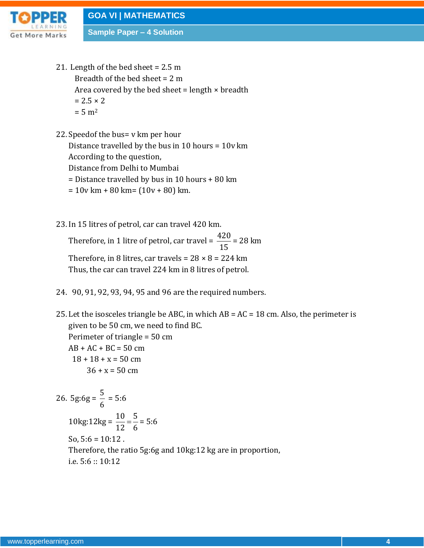

- 21. Length of the bed sheet = 2.5 m Breadth of the bed sheet = 2 m Area covered by the bed sheet = length  $\times$  breadth  $= 2.5 \times 2$  $= 5 m<sup>2</sup>$
- 22.Speedof the bus= v km per hour Distance travelled by the bus in 10 hours = 10v km

According to the question,

Distance from Delhi to Mumbai

= Distance travelled by bus in 10 hours + 80 km

- $= 10v$  km + 80 km =  $(10v + 80)$  km.
- 23. In 15 litres of petrol, car can travel 420 km.

Therefore, in 1 litre of petrol, car travel =  $\frac{420}{15}$ 15 = 28 km Therefore, in 8 litres, car travels =  $28 \times 8 = 224$  km Thus, the car can travel 224 km in 8 litres of petrol.

- 24. 90, 91, 92, 93, 94, 95 and 96 are the required numbers.
- 25. Let the isosceles triangle be ABC, in which  $AB = AC = 18$  cm. Also, the perimeter is given to be 50 cm, we need to find BC. Perimeter of triangle = 50 cm

 $AB + AC + BC = 50$  cm  $18 + 18 + x = 50$  cm  $36 + x = 50$  cm

26. 5g:6g =  $\frac{5}{6}$ 6 = 5:6 10kg:12kg =  $\frac{10}{10}$  =  $\frac{5}{6}$ 12 6 = 5:6 So,  $5:6 = 10:12$ . Therefore, the ratio 5g:6g and 10kg:12 kg are in proportion, i.e. 5:6 :: 10:12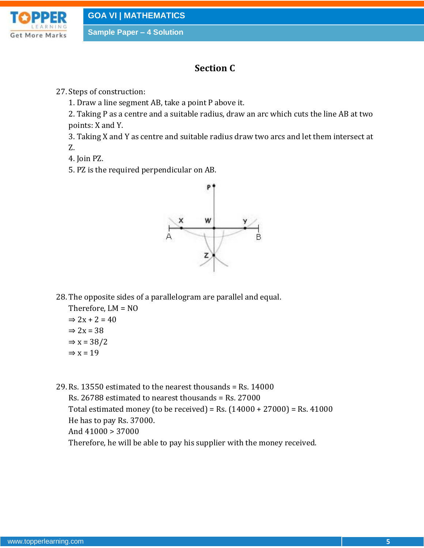

## **Section C**

27.Steps of construction:

1. Draw a line segment AB, take a point P above it.

2. Taking P as a centre and a suitable radius, draw an arc which cuts the line AB at two points: X and Y.

3. Taking X and Y as centre and suitable radius draw two arcs and let them intersect at Z.

4. Join PZ.

5. PZ is the required perpendicular on AB.



28. The opposite sides of a parallelogram are parallel and equal.

Therefore, LM = NO  $\Rightarrow$  2x + 2 = 40  $\Rightarrow$  2x = 38  $\Rightarrow$  x = 38/2  $\Rightarrow$  x = 19

29. Rs. 13550 estimated to the nearest thousands = Rs. 14000 Rs. 26788 estimated to nearest thousands = Rs. 27000 Total estimated money (to be received) = Rs.  $(14000 + 27000)$  = Rs.  $41000$ He has to pay Rs. 37000. And 41000 > 37000 Therefore, he will be able to pay his supplier with the money received.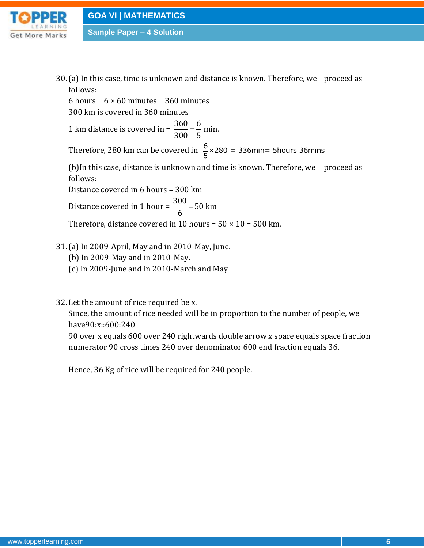

30. (a) In this case, time is unknown and distance is known. Therefore, we proceed as follows:

6 hours =  $6 \times 60$  minutes = 360 minutes

300 km is covered in 360 minutes

1 km distance is covered in =  $\frac{360}{200} = \frac{6}{7}$  min. 300 5

Therefore, 280 km can be covered in  $\frac{6}{5} \times 280 = 336$ min= 5hours 36mins

(b)In this case, distance is unknown and time is known. Therefore, we proceed as follows:

Distance covered in 6 hours = 300 km

Distance covered in 1 hour =  $\frac{300}{6}$  = 50 km 6

Therefore, distance covered in 10 hours =  $50 \times 10 = 500$  km.

- 31.(a) In 2009-April, May and in 2010-May, June.
	- (b) In 2009-May and in 2010-May.
	- (c) In 2009-June and in 2010-March and May
- 32. Let the amount of rice required be x.

Since, the amount of rice needed will be in proportion to the number of people, we have90:x::600:240

90 over x equals 600 over 240 rightwards double arrow x space equals space fraction numerator 90 cross times 240 over denominator 600 end fraction equals 36.

Hence, 36 Kg of rice will be required for 240 people.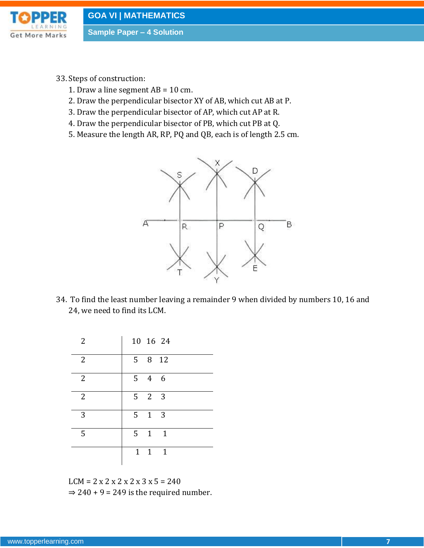

- 33.Steps of construction:
	- 1. Draw a line segment  $AB = 10$  cm.
	- 2. Draw the perpendicular bisector XY of AB, which cut AB at P.
	- 3. Draw the perpendicular bisector of AP, which cut AP at R.
	- 4. Draw the perpendicular bisector of PB, which cut PB at Q.
	- 5. Measure the length AR, RP, PQ and QB, each is of length 2.5 cm.



34. To find the least number leaving a remainder 9 when divided by numbers 10, 16 and 24, we need to find its LCM.

| 2              |   | 10 16 24            |  |
|----------------|---|---------------------|--|
| $\overline{2}$ |   | 5 8 12              |  |
| $\overline{2}$ | 5 | 4 6                 |  |
| $\overline{2}$ |   | $5 \quad 2 \quad 3$ |  |
| 3              | 5 | $1 \quad 3$         |  |
| 5              | 5 | $1 \quad 1$         |  |
|                |   | $1 \quad 1 \quad 1$ |  |

 $LCM = 2 x 2 x 2 x 2 x 3 x 5 = 240$  $\Rightarrow$  240 + 9 = 249 is the required number.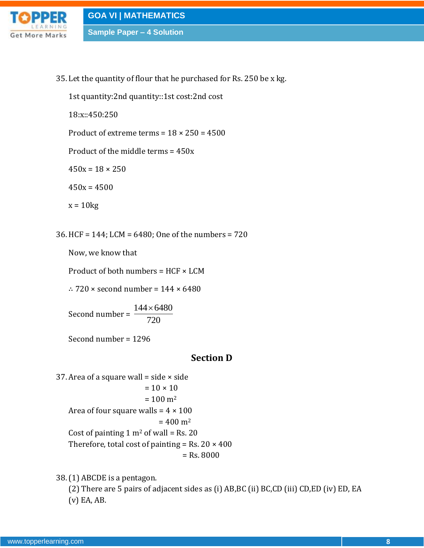

35. Let the quantity of flour that he purchased for Rs. 250 be x kg.

1st quantity:2nd quantity::1st cost:2nd cost

18:x::450:250

Product of extreme terms =  $18 \times 250 = 4500$ 

Product of the middle terms = 450x

 $450x = 18 \times 250$ 

 $450x = 4500$ 

 $x = 10kg$ 

36. HCF = 144; LCM = 6480; One of the numbers = 720

Now, we know that

Product of both numbers =  $HCF \times LCM$ 

∴ 720  $\times$  second number = 144  $\times$  6480

Second number =  $144 \times 6480$ 720  $\times$ 

Second number = 1296

### **Section D**

37. Area of a square wall = side  $\times$  side  $= 10 \times 10$  $= 100 \text{ m}^2$ Area of four square walls =  $4 \times 100$  $= 400$  m<sup>2</sup> Cost of painting  $1 \text{ m}^2$  of wall = Rs. 20 Therefore, total cost of painting = Rs.  $20 \times 400$ = Rs. 8000

38.(1) ABCDE is a pentagon.

(2) There are 5 pairs of adjacent sides as (i) AB,BC (ii) BC,CD (iii) CD,ED (iv) ED, EA (v) EA, AB.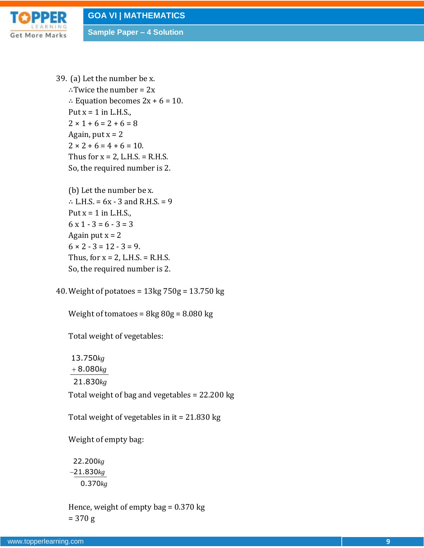

39. (a) Let the number be x. ∴Twice the number = 2x ∴ Equation becomes 2x + 6 = 10. Put  $x = 1$  in L.H.S.,  $2 \times 1 + 6 = 2 + 6 = 8$ Again, put  $x = 2$  $2 \times 2 + 6 = 4 + 6 = 10$ . Thus for  $x = 2$ , L.H.S. = R.H.S. So, the required number is 2.

(b) Let the number be x. ∴ L.H.S. = 6x - 3 and R.H.S. = 9 Put  $x = 1$  in L.H.S.,  $6 \times 1 - 3 = 6 - 3 = 3$ Again put  $x = 2$  $6 \times 2 - 3 = 12 - 3 = 9.$ Thus, for  $x = 2$ , L.H.S. = R.H.S. So, the required number is 2.

40. Weight of potatoes = 13kg 750g = 13.750 kg

Weight of tomatoes =  $8kg\,80g = 8.080\,kg$ 

Total weight of vegetables:

13.750 *kg* 8.080 *kg* 21.830 *kg*

Total weight of bag and vegetables = 22.200 kg

Total weight of vegetables in it = 21.830 kg

Weight of empty bag:

22.200 *kg* 21.830 *kg* 0.370 *kg*

Hence, weight of empty bag  $= 0.370$  kg = 370 g